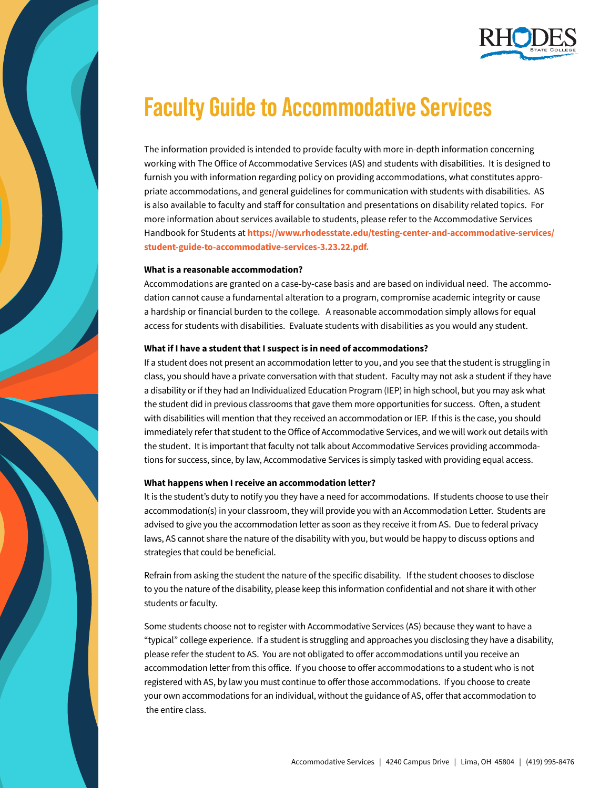

# **Faculty Guide to Accommodative Services**

The information provided is intended to provide faculty with more in-depth information concerning working with The Office of Accommodative Services (AS) and students with disabilities. It is designed to furnish you with information regarding policy on providing accommodations, what constitutes appropriate accommodations, and general guidelines for communication with students with disabilities. AS is also available to faculty and staff for consultation and presentations on disability related topics. For more information about services available to students, please refer to the Accommodative Services Handbook for Students at **[https://www.rhodesstate.edu/testing-center-and-accommodative-services/](https://www.rhodesstate.edu/testing-center-and-accommodative-services/student-guide-to-accommodative-services-3.23.22.pdf) [student-guide-to-accommodative-services-3.23.22.pdf.](https://www.rhodesstate.edu/testing-center-and-accommodative-services/student-guide-to-accommodative-services-3.23.22.pdf)**

# **What is a reasonable accommodation?**

Accommodations are granted on a case-by-case basis and are based on individual need. The accommodation cannot cause a fundamental alteration to a program, compromise academic integrity or cause a hardship or financial burden to the college. A reasonable accommodation simply allows for equal access for students with disabilities. Evaluate students with disabilities as you would any student.

# **What if I have a student that I suspect is in need of accommodations?**

If a student does not present an accommodation letter to you, and you see that the student is struggling in class, you should have a private conversation with that student. Faculty may not ask a student if they have a disability or if they had an Individualized Education Program (IEP) in high school, but you may ask what the student did in previous classrooms that gave them more opportunities for success. Often, a student with disabilities will mention that they received an accommodation or IEP. If this is the case, you should immediately refer that student to the Office of Accommodative Services, and we will work out details with the student. It is important that faculty not talk about Accommodative Services providing accommodations for success, since, by law, Accommodative Services is simply tasked with providing equal access.

#### **What happens when I receive an accommodation letter?**

It is the student's duty to notify you they have a need for accommodations. If students choose to use their accommodation(s) in your classroom, they will provide you with an Accommodation Letter. Students are advised to give you the accommodation letter as soon as they receive it from AS. Due to federal privacy laws, AS cannot share the nature of the disability with you, but would be happy to discuss options and strategies that could be beneficial.

Refrain from asking the student the nature of the specific disability. If the student chooses to disclose to you the nature of the disability, please keep this information confidential and not share it with other students or faculty.

Some students choose not to register with Accommodative Services (AS) because they want to have a "typical" college experience. If a student is struggling and approaches you disclosing they have a disability, please refer the student to AS. You are not obligated to offer accommodations until you receive an accommodation letter from this office. If you choose to offer accommodations to a student who is not registered with AS, by law you must continue to offer those accommodations. If you choose to create your own accommodations for an individual, without the guidance of AS, offer that accommodation to the entire class.